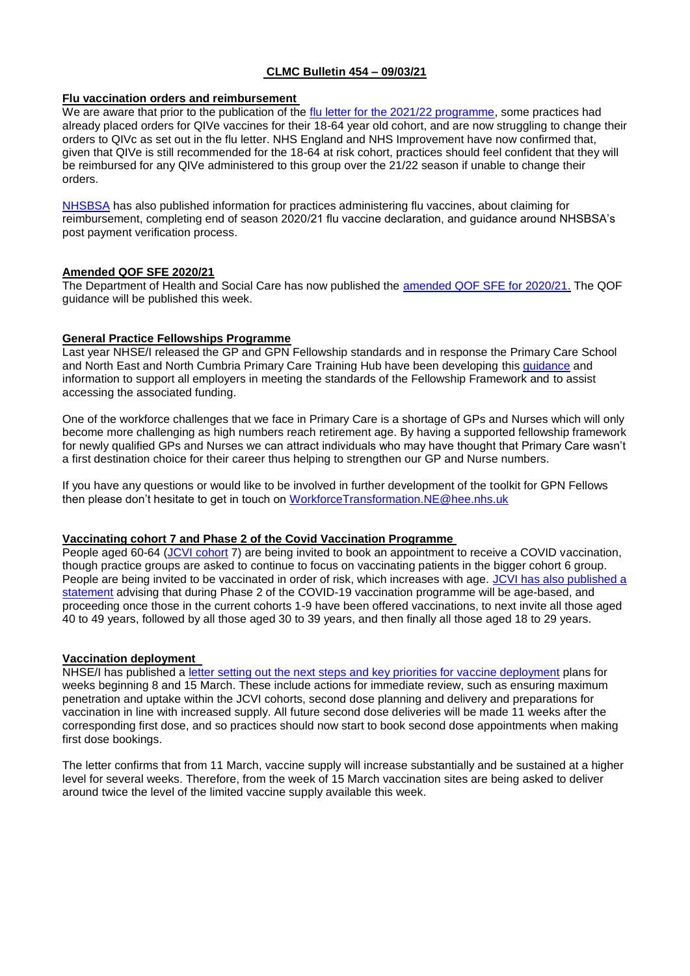# **CLMC Bulletin 454 – 09/03/21**

# **Flu vaccination orders and reimbursement**

We are aware that prior to the publication of the [flu letter for the 2021/22 programme,](https://www.england.nhs.uk/publication/2021-22-influenza-season-letter/) some practices had already placed orders for QIVe vaccines for their 18-64 year old cohort, and are now struggling to change their orders to QIVc as set out in the flu letter. NHS England and NHS Improvement have now confirmed that, given that QIVe is still recommended for the 18-64 at risk cohort, practices should feel confident that they will be reimbursed for any QIVe administered to this group over the 21/22 season if unable to change their orders.

[NHSBSA](https://www.nhsbsa.nhs.uk/pharmacies-gp-practices-and-appliance-contractors/prescribing-and-dispensing/accessing-government-supplied-flu-vaccines) has also published information for practices administering flu vaccines, about claiming for reimbursement, completing end of season 2020/21 flu vaccine declaration, and guidance around NHSBSA's post payment verification process.

### **Amended QOF SFE 2020/21**

The Department of Health and Social Care has now published the [amended QOF SFE for 2020/21.](https://assets.publishing.service.gov.uk/government/uploads/system/uploads/attachment_data/file/966790/the-general-medical-services-statement-of-financial-entitlements-amendment-directions-2021-03Mar21.pdf) The QOF guidance will be published this week.

### **General Practice Fellowships Programme**

Last year NHSE/I released the GP and GPN Fellowship standards and in response the Primary Care School and North East and North Cumbria Primary Care Training Hub have been developing this [guidance](https://www.clevelandlmc.org.uk/website/IGP367/files/general%20practice.pdf) and information to support all employers in meeting the standards of the Fellowship Framework and to assist accessing the associated funding.

One of the workforce challenges that we face in Primary Care is a shortage of GPs and Nurses which will only become more challenging as high numbers reach retirement age. By having a supported fellowship framework for newly qualified GPs and Nurses we can attract individuals who may have thought that Primary Care wasn't a first destination choice for their career thus helping to strengthen our GP and Nurse numbers.

If you have any questions or would like to be involved in further development of the toolkit for GPN Fellows then please don't hesitate to get in touch on [WorkforceTransformation.NE@hee.nhs.uk](mailto:WorkforceTransformation.NE@hee.nhs.uk)

# **Vaccinating cohort 7 and Phase 2 of the Covid Vaccination Programme**

People aged 60-64 [\(JCVI cohort](https://www.gov.uk/government/publications/priority-groups-for-coronavirus-covid-19-vaccination-advice-from-the-jcvi-30-december-2020) 7) are being invited to book an appointment to receive a COVID vaccination, though practice groups are asked to continue to focus on vaccinating patients in the bigger cohort 6 group. People are being invited to be vaccinated in order of risk, which increases with age. [JCVI has also published a](https://www.gov.uk/government/publications/priority-groups-for-phase-2-of-the-coronavirus-covid-19-vaccination-programme-advice-from-the-jcvi/jcvi-interim-statement-on-phase-2-of-the-covid-19-vaccination-programme)  [statement](https://www.gov.uk/government/publications/priority-groups-for-phase-2-of-the-coronavirus-covid-19-vaccination-programme-advice-from-the-jcvi/jcvi-interim-statement-on-phase-2-of-the-covid-19-vaccination-programme) advising that during Phase 2 of the COVID-19 vaccination programme will be age-based, and proceeding once those in the current cohorts 1-9 have been offered vaccinations, to next invite all those aged 40 to 49 years, followed by all those aged 30 to 39 years, and then finally all those aged 18 to 29 years.

# **Vaccination deployment**

NHSE/I has published a [letter setting out the next steps and key priorities for vaccine deployment](https://www.england.nhs.uk/coronavirus/publication/covid-19-vaccination-deployment-next-steps-and-plans-for-weeks-of-8-and-15-march/) plans for weeks beginning 8 and 15 March. These include actions for immediate review, such as ensuring maximum penetration and uptake within the JCVI cohorts, second dose planning and delivery and preparations for vaccination in line with increased supply. All future second dose deliveries will be made 11 weeks after the corresponding first dose, and so practices should now start to book second dose appointments when making first dose bookings.

The letter confirms that from 11 March, vaccine supply will increase substantially and be sustained at a higher level for several weeks. Therefore, from the week of 15 March vaccination sites are being asked to deliver around twice the level of the limited vaccine supply available this week.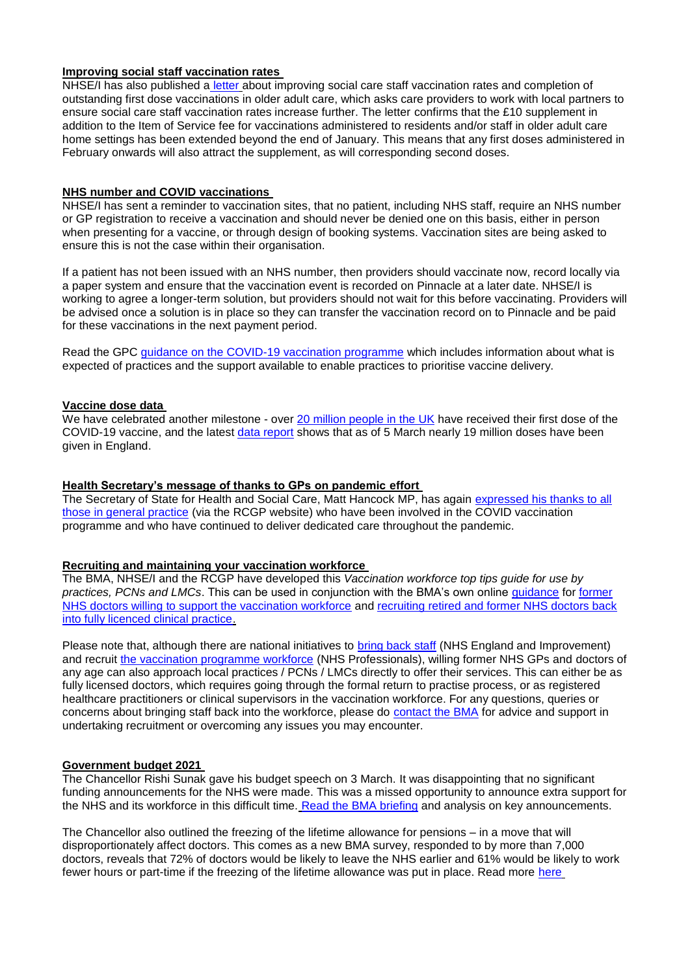# **Improving social staff vaccination rates**

NHSE/I has also published a [letter](https://www.england.nhs.uk/coronavirus/publication/improving-social-care-staff-vaccination-rates-in-care-homes-for-older-people/) about improving social care staff vaccination rates and completion of outstanding first dose vaccinations in older adult care, which asks care providers to work with local partners to ensure social care staff vaccination rates increase further. The letter confirms that the £10 supplement in addition to the Item of Service fee for vaccinations administered to residents and/or staff in older adult care home settings has been extended beyond the end of January. This means that any first doses administered in February onwards will also attract the supplement, as will corresponding second doses.

### **NHS number and COVID vaccinations**

NHSE/I has sent a reminder to vaccination sites, that no patient, including NHS staff, require an NHS number or GP registration to receive a vaccination and should never be denied one on this basis, either in person when presenting for a vaccine, or through design of booking systems. Vaccination sites are being asked to ensure this is not the case within their organisation.

If a patient has not been issued with an NHS number, then providers should vaccinate now, record locally via a paper system and ensure that the vaccination event is recorded on Pinnacle at a later date. NHSE/I is working to agree a longer-term solution, but providers should not wait for this before vaccinating. Providers will be advised once a solution is in place so they can transfer the vaccination record on to Pinnacle and be paid for these vaccinations in the next payment period.

Read the GPC [guidance on the COVID-19 vaccination programme](https://www.bma.org.uk/advice-and-support/covid-19/gp-practices/covid-19-vaccination-programme) which includes information about what is expected of practices and the support available to enable practices to prioritise vaccine delivery.

### **Vaccine dose data**

We have celebrated another milestone - over [20 million people in the UK](https://coronavirus.data.gov.uk/details/vaccinations) have received their first dose of the COVID-19 vaccine, and the latest [data report](https://www.england.nhs.uk/statistics/statistical-work-areas/covid-19-vaccinations/) shows that as of 5 March nearly 19 million doses have been given in England.

# **Health Secretary's message of thanks to GPs on pandemic effort**

The Secretary of State for Health and Social Care, Matt Hancock MP, has again [expressed his thanks to all](https://r1.dotdigital-pages.com/p/49LX-ECD/secretary-of-state-message-for-general-practice)  [those in general practice](https://r1.dotdigital-pages.com/p/49LX-ECD/secretary-of-state-message-for-general-practice) (via the RCGP website) who have been involved in the COVID vaccination programme and who have continued to deliver dedicated care throughout the pandemic.

# **Recruiting and maintaining your vaccination workforce**

The BMA, NHSE/I and the RCGP have developed this *Vaccination workforce top tips guide for use by practices, PCNs and LMCs*. This can be used in conjunction with the BMA's own online [guidance](https://www.clevelandlmc.org.uk/website/IGP367/files/vaccine.pdf) for [former](https://www.bma.org.uk/advice-and-support/covid-19/vaccines/covid-19-vaccination-programme-extra-workforce)  [NHS doctors willing to support the vaccination workforce](https://www.bma.org.uk/advice-and-support/covid-19/vaccines/covid-19-vaccination-programme-extra-workforce) and [recruiting retired and former NHS doctors back](https://www.bma.org.uk/advice-and-support/covid-19/returning-to-the-nhs-or-starting-a-new-role/covid-19-retired-doctors-returning-to-work)  [into fully licenced clinical practice.](https://www.bma.org.uk/advice-and-support/covid-19/returning-to-the-nhs-or-starting-a-new-role/covid-19-retired-doctors-returning-to-work)

Please note that, although there are national initiatives to [bring back staff](https://www.england.nhs.uk/coronavirus/returning-clinicians/) (NHS England and Improvement) and recruit [the vaccination programme workforce](https://vaccine-jobs.nhsp.uk/index.html) (NHS Professionals), willing former NHS GPs and doctors of any age can also approach local practices / PCNs / LMCs directly to offer their services. This can either be as fully licensed doctors, which requires going through the formal return to practise process, or as registered healthcare practitioners or clinical supervisors in the vaccination workforce. For any questions, queries or concerns about bringing staff back into the workforce, please do [contact the BMA](https://www.bma.org.uk/advice-and-support/covid-19/vaccines/covid-19-vaccination-programme-extra-workforce) for advice and support in undertaking recruitment or overcoming any issues you may encounter.

# **Government budget 2021**

The Chancellor Rishi Sunak gave his budget speech on 3 March. It was disappointing that no significant funding announcements for the NHS were made. This was a missed opportunity to announce extra support for the NHS and its workforce in this difficult time. [Read the BMA briefing](https://www.bma.org.uk/advice-and-support/nhs-delivery-and-workforce/funding/budget-2021-what-you-need-to-know) and analysis on key announcements.

The Chancellor also outlined the freezing of the lifetime allowance for pensions – in a move that will disproportionately affect doctors. This comes as a new BMA survey, responded to by more than 7,000 doctors, reveals that 72% of doctors would be likely to leave the NHS earlier and 61% would be likely to work fewer hours or part-time if the freezing of the lifetime allowance was put in place. Read more [here](https://www.bma.org.uk/bma-media-centre/freeze-on-pension-lifetime-allowance-would-have-serious-impact-on-medical-workforce-warns-bma)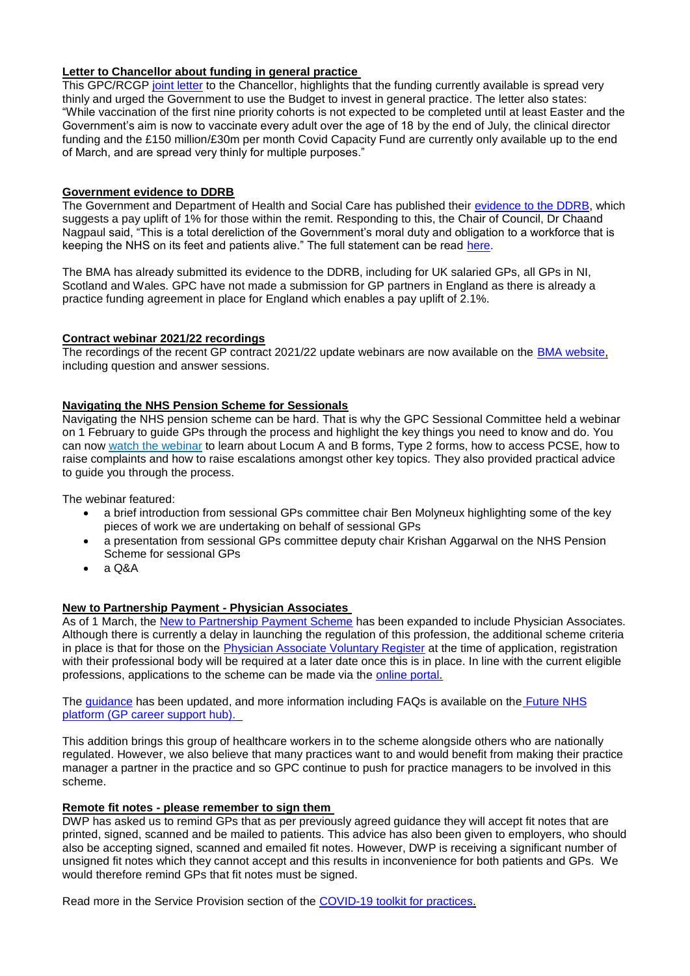# **Letter to Chancellor about funding in general practice**

This GPC/RCGP [joint letter](https://www.clevelandlmc.org.uk/website/IGP367/files/rcgp.pdf) to the Chancellor, highlights that the funding currently available is spread very thinly and urged the Government to use the Budget to invest in general practice. The letter also states: "While vaccination of the first nine priority cohorts is not expected to be completed until at least Easter and the Government's aim is now to vaccinate every adult over the age of 18 by the end of July, the clinical director funding and the £150 million/£30m per month Covid Capacity Fund are currently only available up to the end of March, and are spread very thinly for multiple purposes."

#### **Government evidence to DDRB**

The Government and Department of Health and Social Care has published their [evidence to the DDRB,](https://www.gov.uk/government/publications/dhsc-evidence-for-the-ddrb-pay-round-2021-to-2022) which suggests a pay uplift of 1% for those within the remit. Responding to this, the Chair of Council, Dr Chaand Nagpaul said, "This is a total dereliction of the Government's moral duty and obligation to a workforce that is keeping the NHS on its feet and patients alive." The full statement can be read [here.](https://www.bma.org.uk/bma-media-centre/bma-accuses-government-of-dereliction-of-duty-over-recommendation-of-a-1-pay-rise-for-doctors)

The BMA has already submitted its evidence to the DDRB, including for UK salaried GPs, all GPs in NI, Scotland and Wales. GPC have not made a submission for GP partners in England as there is already a practice funding agreement in place for England which enables a pay uplift of 2.1%.

### **Contract webinar 2021/22 recordings**

The recordings of the recent GP contract 2021/22 update webinars are now available on the [BMA website,](https://www.bma.org.uk/pay-and-contracts/contracts/gp-contract/gp-contract-england-202122) including question and answer sessions.

#### **Navigating the NHS Pension Scheme for Sessionals**

Navigating the NHS pension scheme can be hard. That is why the GPC Sessional Committee held a webinar on 1 February to guide GPs through the process and highlight the key things you need to know and do. You can now [watch the webinar](https://bma-mail.org.uk/JVX-79WJ8-IQJUOK-4DEAUM-1/c.aspx) to learn about Locum A and B forms, Type 2 forms, how to access PCSE, how to raise complaints and how to raise escalations amongst other key topics. They also provided practical advice to guide you through the process.

The webinar featured:

- a brief introduction from sessional GPs committee chair Ben Molyneux highlighting some of the key pieces of work we are undertaking on behalf of sessional GPs
- a presentation from sessional GPs committee deputy chair Krishan Aggarwal on the NHS Pension Scheme for sessional GPs
- $A \Omega$

#### **New to Partnership Payment - Physician Associates**

As of 1 March, the [New to Partnership Payment Scheme](https://www.england.nhs.uk/gp/the-best-place-to-work/new-to-partnership-payment-scheme/) has been expanded to include Physician Associates. Although there is currently a delay in launching the regulation of this profession, the additional scheme criteria in place is that for those on the [Physician Associate Voluntary Register](https://www.fparcp.co.uk/pamvr/) at the time of application, registration with their professional body will be required at a later date once this is in place. In line with the current eligible professions, applications to the scheme can be made via the [online portal.](https://www.primarycareworkforce.nhs.uk/)

The [guidance](https://www.england.nhs.uk/publication/new-to-partnership-payment-scheme-application-documents/) has been updated, and more information including FAQs is available on the **Future NHS** [platform \(GP career support hub\).](https://future.nhs.uk/system/login?nextURL=%2Fconnect%2Eti%2FGPCS%2Fview%3FobjectID%3D24870064)

This addition brings this group of healthcare workers in to the scheme alongside others who are nationally regulated. However, we also believe that many practices want to and would benefit from making their practice manager a partner in the practice and so GPC continue to push for practice managers to be involved in this scheme.

#### **Remote fit notes - please remember to sign them**

DWP has asked us to remind GPs that as per previously agreed guidance they will accept fit notes that are printed, signed, scanned and be mailed to patients. This advice has also been given to employers, who should also be accepting signed, scanned and emailed fit notes. However, DWP is receiving a significant number of unsigned fit notes which they cannot accept and this results in inconvenience for both patients and GPs. We would therefore remind GPs that fit notes must be signed.

Read more in the Service Provision section of the [COVID-19 toolkit for practices.](https://www.bma.org.uk/advice-and-support/covid-19/gp-practices/covid-19-toolkit-for-gps-and-gp-practices/service-provision?)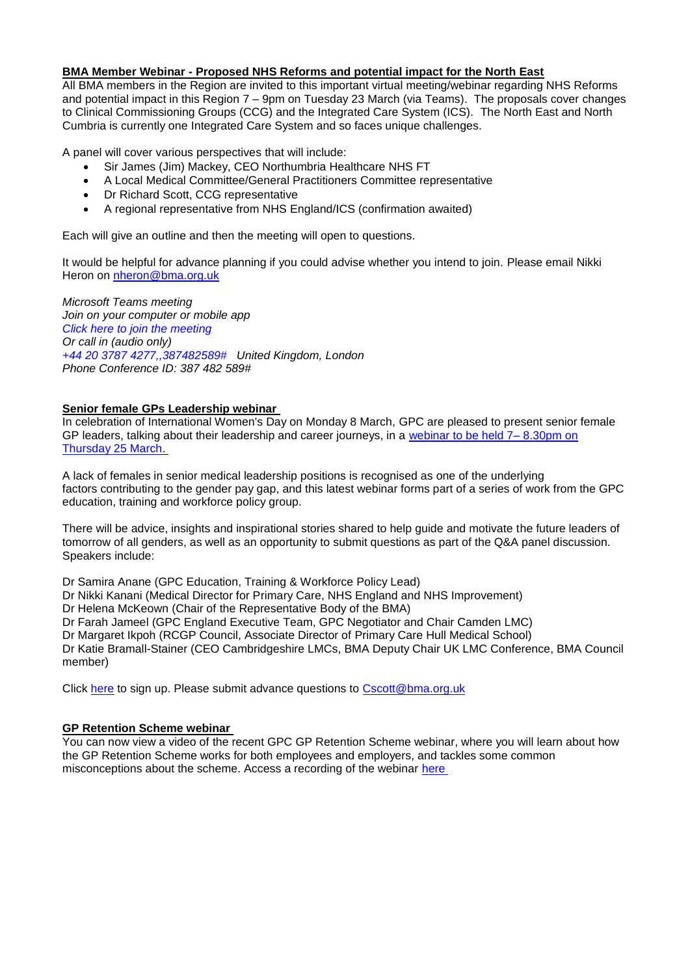### **BMA Member Webinar - Proposed NHS Reforms and potential impact for the North East**

All BMA members in the Region are invited to this important virtual meeting/webinar regarding NHS Reforms and potential impact in this Region 7 – 9pm on Tuesday 23 March (via Teams). The proposals cover changes to Clinical Commissioning Groups (CCG) and the Integrated Care System (ICS). The North East and North Cumbria is currently one Integrated Care System and so faces unique challenges.

A panel will cover various perspectives that will include:

- Sir James (Jim) Mackey, CEO Northumbria Healthcare NHS FT
- A Local Medical Committee/General Practitioners Committee representative
- Dr Richard Scott, CCG representative
- A regional representative from NHS England/ICS (confirmation awaited)

Each will give an outline and then the meeting will open to questions.

It would be helpful for advance planning if you could advise whether you intend to join. Please email Nikki Heron on [nheron@bma.org.uk](mailto:nheron@bma.org.uk)

*Microsoft Teams meeting Join on your computer or mobile app [Click here to join the meeting](https://teams.microsoft.com/l/meetup-join/19%3ameeting_MGQwYzQ3MTAtNTk2Zi00NTlmLWFiMTQtMDdiOTVlYTBhNTAy%40thread.v2/0?context=%7b%22Tid%22%3a%22bf448ebe-e65f-40e6-9e31-33fdaa412880%22%2c%22Oid%22%3a%221f42858d-1f5d-4e65-8d22-45d9763a2d0f%22%7d) Or call in (audio only) [+44 20 3787 4277,,387482589#](tel:+442037874277,,387482589) United Kingdom, London Phone Conference ID: 387 482 589#*

# **Senior female GPs Leadership webinar**

In celebration of International Women's Day on Monday 8 March, GPC are pleased to present senior female GP leaders, talking about their leadership and career journeys, in a [webinar to be held 7–](https://www.bma.org.uk/events/inspiring-the-female-gp-leaders-of-tomorrow-webinar) 8.30pm on [Thursday 25 March.](https://www.bma.org.uk/events/inspiring-the-female-gp-leaders-of-tomorrow-webinar)

A lack of females in senior medical leadership positions is recognised as one of the underlying factors contributing to the gender pay gap, and this latest webinar forms part of a series of work from the GPC education, training and workforce policy group.

There will be advice, insights and inspirational stories shared to help guide and motivate the future leaders of tomorrow of all genders, as well as an opportunity to submit questions as part of the Q&A panel discussion. Speakers include:

Dr Samira Anane (GPC Education, Training & Workforce Policy Lead)

Dr Nikki Kanani (Medical Director for Primary Care, NHS England and NHS Improvement)

Dr Helena McKeown (Chair of the Representative Body of the BMA)

Dr Farah Jameel (GPC England Executive Team, GPC Negotiator and Chair Camden LMC)

Dr Margaret Ikpoh (RCGP Council, Associate Director of Primary Care Hull Medical School)

Dr Katie Bramall-Stainer (CEO Cambridgeshire LMCs, BMA Deputy Chair UK LMC Conference, BMA Council member)

Click [here](https://attendee.gotowebinar.com/register/3839386165948189963) to sign up. Please submit advance questions to [Cscott@bma.org.uk](mailto:Cscott@bma.org.uk)

#### **GP Retention Scheme webinar**

You can now view a video of the recent GPC GP Retention Scheme webinar, where you will learn about how the GP Retention Scheme works for both employees and employers, and tackles some common misconceptions about the scheme. Access a recording of the webinar [here](https://www.bma.org.uk/advice-and-support/career-progression/gp-workforce-initiatives/gp-retention-scheme)